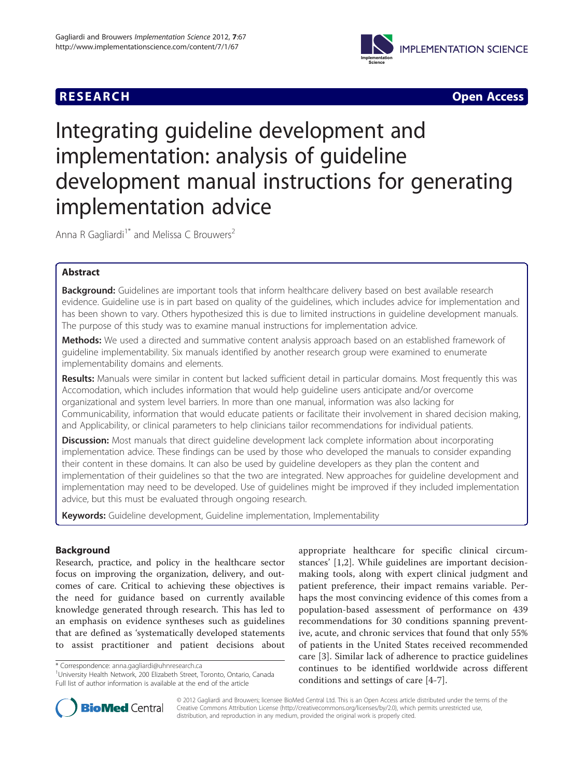## **RESEARCH CHEAR CHEAR CHEAR CHEAR CHEAR CHEAR CHEAR CHEAR CHEAR CHEAR CHEAR CHEAR CHEAR CHEAR CHEAR CHEAR CHEAR**



# Integrating guideline development and implementation: analysis of guideline development manual instructions for generating implementation advice

Anna R Gagliardi<sup>1\*</sup> and Melissa C Brouwers<sup>2</sup>

## Abstract

Background: Guidelines are important tools that inform healthcare delivery based on best available research evidence. Guideline use is in part based on quality of the guidelines, which includes advice for implementation and has been shown to vary. Others hypothesized this is due to limited instructions in guideline development manuals. The purpose of this study was to examine manual instructions for implementation advice.

Methods: We used a directed and summative content analysis approach based on an established framework of guideline implementability. Six manuals identified by another research group were examined to enumerate implementability domains and elements.

Results: Manuals were similar in content but lacked sufficient detail in particular domains. Most frequently this was Accomodation, which includes information that would help guideline users anticipate and/or overcome organizational and system level barriers. In more than one manual, information was also lacking for Communicability, information that would educate patients or facilitate their involvement in shared decision making, and Applicability, or clinical parameters to help clinicians tailor recommendations for individual patients.

Discussion: Most manuals that direct guideline development lack complete information about incorporating implementation advice. These findings can be used by those who developed the manuals to consider expanding their content in these domains. It can also be used by guideline developers as they plan the content and implementation of their guidelines so that the two are integrated. New approaches for guideline development and implementation may need to be developed. Use of guidelines might be improved if they included implementation advice, but this must be evaluated through ongoing research.

Keywords: Guideline development, Guideline implementation, Implementability

## Background

Research, practice, and policy in the healthcare sector focus on improving the organization, delivery, and outcomes of care. Critical to achieving these objectives is the need for guidance based on currently available knowledge generated through research. This has led to an emphasis on evidence syntheses such as guidelines that are defined as 'systematically developed statements to assist practitioner and patient decisions about appropriate healthcare for specific clinical circumstances' [[1,2\]](#page-7-0). While guidelines are important decisionmaking tools, along with expert clinical judgment and patient preference, their impact remains variable. Perhaps the most convincing evidence of this comes from a population-based assessment of performance on 439 recommendations for 30 conditions spanning preventive, acute, and chronic services that found that only 55% of patients in the United States received recommended care [[3](#page-7-0)]. Similar lack of adherence to practice guidelines continues to be identified worldwide across different conditions and settings of care [\[4](#page-7-0)-[7\]](#page-7-0).



© 2012 Gagliardi and Brouwers; licensee BioMed Central Ltd. This is an Open Access article distributed under the terms of the Creative Commons Attribution License (<http://creativecommons.org/licenses/by/2.0>), which permits unrestricted use, distribution, and reproduction in any medium, provided the original work is properly cited.

<sup>\*</sup> Correspondence: [anna.gagliardi@uhnresearch.ca](mailto:anna.gagliardi@uhnresearch.ca) <sup>1</sup>

<sup>&</sup>lt;sup>1</sup> University Health Network, 200 Elizabeth Street, Toronto, Ontario, Canada Full list of author information is available at the end of the article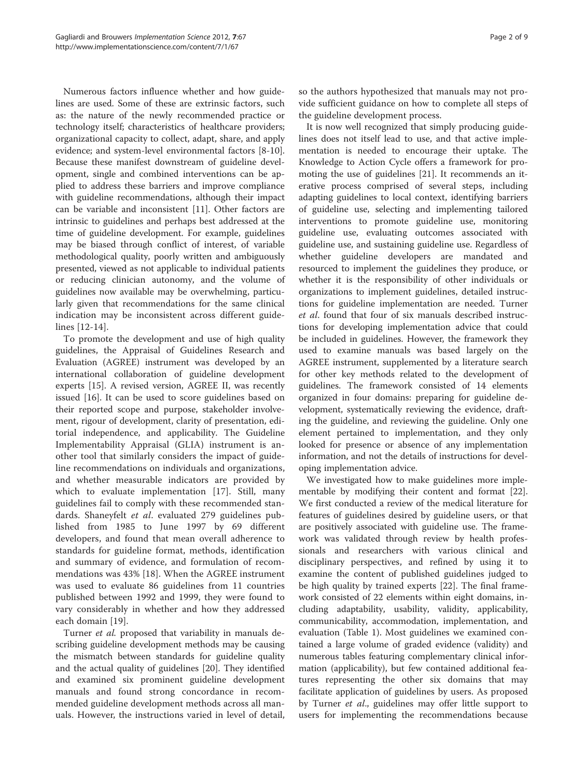Numerous factors influence whether and how guidelines are used. Some of these are extrinsic factors, such as: the nature of the newly recommended practice or technology itself; characteristics of healthcare providers; organizational capacity to collect, adapt, share, and apply evidence; and system-level environmental factors [[8-10](#page-7-0)]. Because these manifest downstream of guideline development, single and combined interventions can be applied to address these barriers and improve compliance with guideline recommendations, although their impact can be variable and inconsistent [\[11](#page-7-0)]. Other factors are intrinsic to guidelines and perhaps best addressed at the time of guideline development. For example, guidelines may be biased through conflict of interest, of variable methodological quality, poorly written and ambiguously presented, viewed as not applicable to individual patients or reducing clinician autonomy, and the volume of guidelines now available may be overwhelming, particularly given that recommendations for the same clinical indication may be inconsistent across different guidelines [[12-14](#page-7-0)].

To promote the development and use of high quality guidelines, the Appraisal of Guidelines Research and Evaluation (AGREE) instrument was developed by an international collaboration of guideline development experts [\[15](#page-7-0)]. A revised version, AGREE II, was recently issued [[16](#page-7-0)]. It can be used to score guidelines based on their reported scope and purpose, stakeholder involvement, rigour of development, clarity of presentation, editorial independence, and applicability. The Guideline Implementability Appraisal (GLIA) instrument is another tool that similarly considers the impact of guideline recommendations on individuals and organizations, and whether measurable indicators are provided by which to evaluate implementation [\[17](#page-7-0)]. Still, many guidelines fail to comply with these recommended standards. Shaneyfelt *et al.* evaluated 279 guidelines published from 1985 to June 1997 by 69 different developers, and found that mean overall adherence to standards for guideline format, methods, identification and summary of evidence, and formulation of recommendations was 43% [[18\]](#page-8-0). When the AGREE instrument was used to evaluate 86 guidelines from 11 countries published between 1992 and 1999, they were found to vary considerably in whether and how they addressed each domain [[19\]](#page-8-0).

Turner et al. proposed that variability in manuals describing guideline development methods may be causing the mismatch between standards for guideline quality and the actual quality of guidelines [\[20](#page-8-0)]. They identified and examined six prominent guideline development manuals and found strong concordance in recommended guideline development methods across all manuals. However, the instructions varied in level of detail,

so the authors hypothesized that manuals may not provide sufficient guidance on how to complete all steps of the guideline development process.

It is now well recognized that simply producing guidelines does not itself lead to use, and that active implementation is needed to encourage their uptake. The Knowledge to Action Cycle offers a framework for promoting the use of guidelines [[21](#page-8-0)]. It recommends an iterative process comprised of several steps, including adapting guidelines to local context, identifying barriers of guideline use, selecting and implementing tailored interventions to promote guideline use, monitoring guideline use, evaluating outcomes associated with guideline use, and sustaining guideline use. Regardless of whether guideline developers are mandated and resourced to implement the guidelines they produce, or whether it is the responsibility of other individuals or organizations to implement guidelines, detailed instructions for guideline implementation are needed. Turner et al. found that four of six manuals described instructions for developing implementation advice that could be included in guidelines. However, the framework they used to examine manuals was based largely on the AGREE instrument, supplemented by a literature search for other key methods related to the development of guidelines. The framework consisted of 14 elements organized in four domains: preparing for guideline development, systematically reviewing the evidence, drafting the guideline, and reviewing the guideline. Only one element pertained to implementation, and they only looked for presence or absence of any implementation information, and not the details of instructions for developing implementation advice.

We investigated how to make guidelines more implementable by modifying their content and format [\[22](#page-8-0)]. We first conducted a review of the medical literature for features of guidelines desired by guideline users, or that are positively associated with guideline use. The framework was validated through review by health professionals and researchers with various clinical and disciplinary perspectives, and refined by using it to examine the content of published guidelines judged to be high quality by trained experts [[22\]](#page-8-0). The final framework consisted of 22 elements within eight domains, including adaptability, usability, validity, applicability, communicability, accommodation, implementation, and evaluation (Table [1](#page-2-0)). Most guidelines we examined contained a large volume of graded evidence (validity) and numerous tables featuring complementary clinical information (applicability), but few contained additional features representing the other six domains that may facilitate application of guidelines by users. As proposed by Turner *et al.*, guidelines may offer little support to users for implementing the recommendations because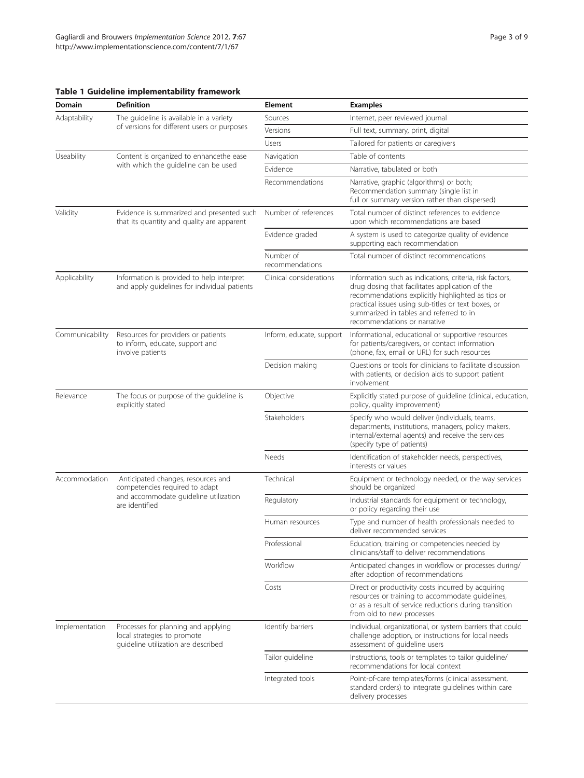### <span id="page-2-0"></span>Table 1 Guideline implementability framework

| Domain          | <b>Definition</b>                                                                                         | <b>Element</b>               | <b>Examples</b>                                                                                                                                                                                                                                                                                    |
|-----------------|-----------------------------------------------------------------------------------------------------------|------------------------------|----------------------------------------------------------------------------------------------------------------------------------------------------------------------------------------------------------------------------------------------------------------------------------------------------|
| Adaptability    | The guideline is available in a variety                                                                   | Sources                      | Internet, peer reviewed journal                                                                                                                                                                                                                                                                    |
|                 | of versions for different users or purposes                                                               | Versions                     | Full text, summary, print, digital                                                                                                                                                                                                                                                                 |
|                 |                                                                                                           | Users                        | Tailored for patients or caregivers                                                                                                                                                                                                                                                                |
| Useability      | Content is organized to enhancethe ease                                                                   | Navigation                   | Table of contents                                                                                                                                                                                                                                                                                  |
|                 | with which the guideline can be used                                                                      | Evidence                     | Narrative, tabulated or both                                                                                                                                                                                                                                                                       |
|                 |                                                                                                           | Recommendations              | Narrative, graphic (algorithms) or both;<br>Recommendation summary (single list in<br>full or summary version rather than dispersed)                                                                                                                                                               |
| Validity        | Evidence is summarized and presented such<br>that its quantity and quality are apparent                   | Number of references         | Total number of distinct references to evidence<br>upon which recommendations are based                                                                                                                                                                                                            |
|                 |                                                                                                           | Evidence graded              | A system is used to categorize quality of evidence<br>supporting each recommendation                                                                                                                                                                                                               |
|                 |                                                                                                           | Number of<br>recommendations | Total number of distinct recommendations                                                                                                                                                                                                                                                           |
| Applicability   | Information is provided to help interpret<br>and apply guidelines for individual patients                 | Clinical considerations      | Information such as indications, criteria, risk factors,<br>drug dosing that facilitates application of the<br>recommendations explicitly highlighted as tips or<br>practical issues using sub-titles or text boxes, or<br>summarized in tables and referred to in<br>recommendations or narrative |
| Communicability | Resources for providers or patients<br>to inform, educate, support and<br>involve patients                | Inform, educate, support     | Informational, educational or supportive resources<br>for patients/caregivers, or contact information<br>(phone, fax, email or URL) for such resources                                                                                                                                             |
|                 |                                                                                                           | Decision making              | Questions or tools for clinicians to facilitate discussion<br>with patients, or decision aids to support patient<br>involvement                                                                                                                                                                    |
| Relevance       | The focus or purpose of the guideline is<br>explicitly stated                                             | Objective                    | Explicitly stated purpose of guideline (clinical, education,<br>policy, quality improvement)                                                                                                                                                                                                       |
|                 |                                                                                                           | Stakeholders                 | Specify who would deliver (individuals, teams,<br>departments, institutions, managers, policy makers,<br>internal/external agents) and receive the services<br>(specify type of patients)                                                                                                          |
|                 |                                                                                                           | Needs                        | Identification of stakeholder needs, perspectives,<br>interests or values                                                                                                                                                                                                                          |
| Accommodation   | Anticipated changes, resources and<br>competencies required to adapt                                      | Technical                    | Equipment or technology needed, or the way services<br>should be organized                                                                                                                                                                                                                         |
|                 | and accommodate guideline utilization<br>are identified                                                   | Regulatory                   | Industrial standards for equipment or technology,<br>or policy regarding their use                                                                                                                                                                                                                 |
|                 |                                                                                                           | Human resources              | Type and number of health professionals needed to<br>deliver recommended services                                                                                                                                                                                                                  |
|                 |                                                                                                           | Professional                 | Education, training or competencies needed by<br>clinicians/staff to deliver recommendations                                                                                                                                                                                                       |
|                 |                                                                                                           | Workflow                     | Anticipated changes in workflow or processes during/<br>after adoption of recommendations                                                                                                                                                                                                          |
|                 |                                                                                                           | Costs                        | Direct or productivity costs incurred by acquiring<br>resources or training to accommodate guidelines,<br>or as a result of service reductions during transition<br>from old to new processes                                                                                                      |
| Implementation  | Processes for planning and applying<br>local strategies to promote<br>guideline utilization are described | Identify barriers            | Individual, organizational, or system barriers that could<br>challenge adoption, or instructions for local needs<br>assessment of quideline users                                                                                                                                                  |
|                 |                                                                                                           | Tailor guideline             | Instructions, tools or templates to tailor guideline/<br>recommendations for local context                                                                                                                                                                                                         |
|                 |                                                                                                           | Integrated tools             | Point-of-care templates/forms (clinical assessment,<br>standard orders) to integrate guidelines within care<br>delivery processes                                                                                                                                                                  |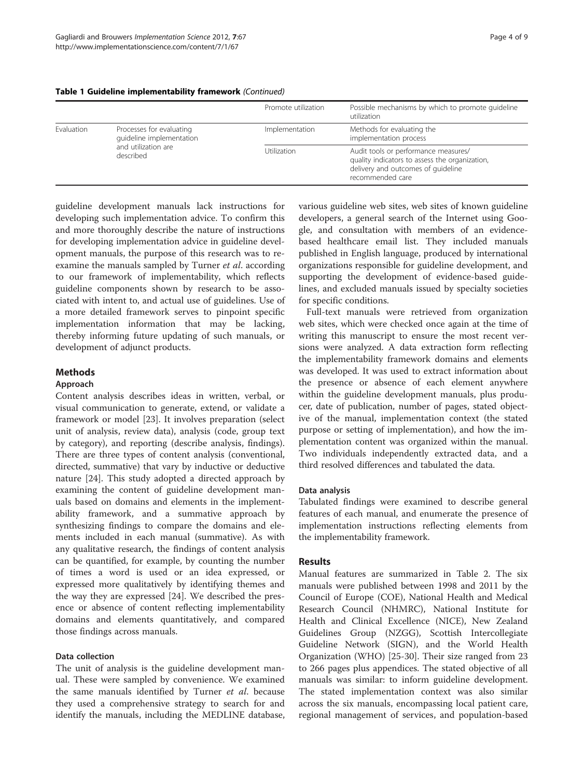|            |                                                                                          | Promote utilization | Possible mechanisms by which to promote quideline<br>utilization                                                                                 |
|------------|------------------------------------------------------------------------------------------|---------------------|--------------------------------------------------------------------------------------------------------------------------------------------------|
| Evaluation | Processes for evaluating<br>quideline implementation<br>and utilization are<br>described | Implementation      | Methods for evaluating the<br>implementation process                                                                                             |
|            |                                                                                          | Utilization         | Audit tools or performance measures/<br>quality indicators to assess the organization,<br>delivery and outcomes of quideline<br>recommended care |

#### Table 1 Guideline implementability framework (Continued)

guideline development manuals lack instructions for developing such implementation advice. To confirm this and more thoroughly describe the nature of instructions for developing implementation advice in guideline development manuals, the purpose of this research was to reexamine the manuals sampled by Turner et al. according to our framework of implementability, which reflects guideline components shown by research to be associated with intent to, and actual use of guidelines. Use of a more detailed framework serves to pinpoint specific implementation information that may be lacking, thereby informing future updating of such manuals, or development of adjunct products.

## **Methods**

#### Approach

Content analysis describes ideas in written, verbal, or visual communication to generate, extend, or validate a framework or model [[23\]](#page-8-0). It involves preparation (select unit of analysis, review data), analysis (code, group text by category), and reporting (describe analysis, findings). There are three types of content analysis (conventional, directed, summative) that vary by inductive or deductive nature [\[24\]](#page-8-0). This study adopted a directed approach by examining the content of guideline development manuals based on domains and elements in the implementability framework, and a summative approach by synthesizing findings to compare the domains and elements included in each manual (summative). As with any qualitative research, the findings of content analysis can be quantified, for example, by counting the number of times a word is used or an idea expressed, or expressed more qualitatively by identifying themes and the way they are expressed [[24\]](#page-8-0). We described the presence or absence of content reflecting implementability domains and elements quantitatively, and compared those findings across manuals.

## Data collection

The unit of analysis is the guideline development manual. These were sampled by convenience. We examined the same manuals identified by Turner et al. because they used a comprehensive strategy to search for and identify the manuals, including the MEDLINE database, various guideline web sites, web sites of known guideline developers, a general search of the Internet using Google, and consultation with members of an evidencebased healthcare email list. They included manuals published in English language, produced by international organizations responsible for guideline development, and supporting the development of evidence-based guidelines, and excluded manuals issued by specialty societies for specific conditions.

Full-text manuals were retrieved from organization web sites, which were checked once again at the time of writing this manuscript to ensure the most recent versions were analyzed. A data extraction form reflecting the implementability framework domains and elements was developed. It was used to extract information about the presence or absence of each element anywhere within the guideline development manuals, plus producer, date of publication, number of pages, stated objective of the manual, implementation context (the stated purpose or setting of implementation), and how the implementation content was organized within the manual. Two individuals independently extracted data, and a third resolved differences and tabulated the data.

#### Data analysis

Tabulated findings were examined to describe general features of each manual, and enumerate the presence of implementation instructions reflecting elements from the implementability framework.

## Results

Manual features are summarized in Table [2](#page-4-0). The six manuals were published between 1998 and 2011 by the Council of Europe (COE), National Health and Medical Research Council (NHMRC), National Institute for Health and Clinical Excellence (NICE), New Zealand Guidelines Group (NZGG), Scottish Intercollegiate Guideline Network (SIGN), and the World Health Organization (WHO) [\[25](#page-8-0)-[30](#page-8-0)]. Their size ranged from 23 to 266 pages plus appendices. The stated objective of all manuals was similar: to inform guideline development. The stated implementation context was also similar across the six manuals, encompassing local patient care, regional management of services, and population-based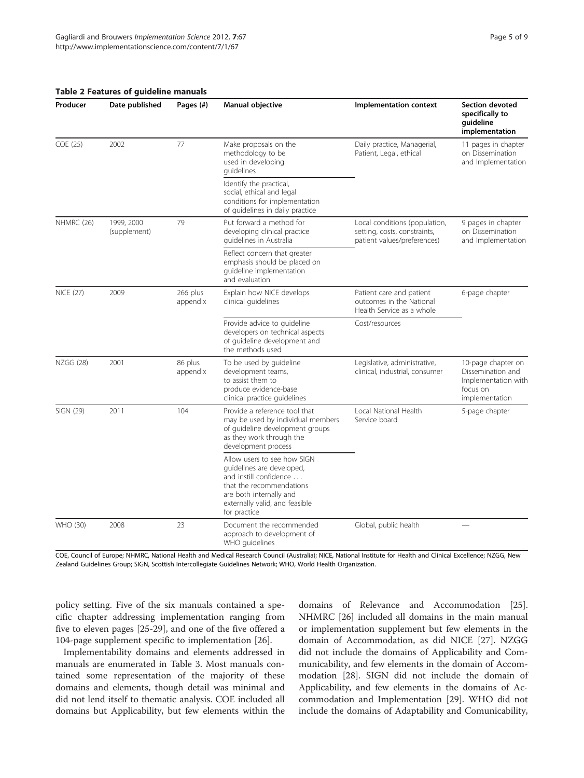#### <span id="page-4-0"></span>Table 2 Features of guideline manuals

| Producer         | Date published             | Pages (#)            | Manual objective                                                                                                                                                                            | Implementation context                                                                       | <b>Section devoted</b><br>specifically to<br>guideline<br>implementation                     |  |
|------------------|----------------------------|----------------------|---------------------------------------------------------------------------------------------------------------------------------------------------------------------------------------------|----------------------------------------------------------------------------------------------|----------------------------------------------------------------------------------------------|--|
| COE (25)         | 2002                       | 77                   | Make proposals on the<br>methodology to be<br>used in developing<br>quidelines                                                                                                              | Daily practice, Managerial,<br>Patient, Legal, ethical                                       | 11 pages in chapter<br>on Dissemination<br>and Implementation                                |  |
|                  |                            |                      | Identify the practical,<br>social, ethical and legal<br>conditions for implementation<br>of quidelines in daily practice                                                                    |                                                                                              |                                                                                              |  |
| NHMRC (26)       | 1999, 2000<br>(supplement) | 79                   | Put forward a method for<br>developing clinical practice<br>quidelines in Australia                                                                                                         | Local conditions (population,<br>setting, costs, constraints,<br>patient values/preferences) | 9 pages in chapter<br>on Dissemination<br>and Implementation                                 |  |
|                  |                            |                      | Reflect concern that greater<br>emphasis should be placed on<br>quideline implementation<br>and evaluation                                                                                  |                                                                                              |                                                                                              |  |
| <b>NICE (27)</b> | 2009                       | 266 plus<br>appendix | Explain how NICE develops<br>clinical quidelines                                                                                                                                            | Patient care and patient<br>outcomes in the National<br>Health Service as a whole            | 6-page chapter                                                                               |  |
|                  |                            |                      | Provide advice to guideline<br>developers on technical aspects<br>of quideline development and<br>the methods used                                                                          | Cost/resources                                                                               |                                                                                              |  |
| NZGG (28)        | 2001                       | 86 plus<br>appendix  | To be used by guideline<br>development teams,<br>to assist them to<br>produce evidence-base<br>clinical practice quidelines                                                                 | Legislative, administrative,<br>clinical, industrial, consumer                               | 10-page chapter on<br>Dissemination and<br>Implementation with<br>focus on<br>implementation |  |
| SIGN (29)        | 2011                       | 104                  | Provide a reference tool that<br>may be used by individual members<br>of guideline development groups<br>as they work through the<br>development process                                    | Local National Health<br>Service board                                                       | 5-page chapter                                                                               |  |
|                  |                            |                      | Allow users to see how SIGN<br>quidelines are developed,<br>and instill confidence<br>that the recommendations<br>are both internally and<br>externally valid, and feasible<br>for practice |                                                                                              |                                                                                              |  |
| WHO (30)         | 2008                       | 23                   | Document the recommended<br>approach to development of<br>WHO quidelines                                                                                                                    | Global, public health                                                                        |                                                                                              |  |

COE, Council of Europe; NHMRC, National Health and Medical Research Council (Australia); NICE, National Institute for Health and Clinical Excellence; NZGG, New Zealand Guidelines Group; SIGN, Scottish Intercollegiate Guidelines Network; WHO, World Health Organization.

policy setting. Five of the six manuals contained a specific chapter addressing implementation ranging from five to eleven pages [[25-29\]](#page-8-0), and one of the five offered a 104-page supplement specific to implementation [[26](#page-8-0)].

Implementability domains and elements addressed in manuals are enumerated in Table [3](#page-5-0). Most manuals contained some representation of the majority of these domains and elements, though detail was minimal and did not lend itself to thematic analysis. COE included all domains but Applicability, but few elements within the domains of Relevance and Accommodation [\[25](#page-8-0)]. NHMRC [\[26](#page-8-0)] included all domains in the main manual or implementation supplement but few elements in the domain of Accommodation, as did NICE [\[27](#page-8-0)]. NZGG did not include the domains of Applicability and Communicability, and few elements in the domain of Accommodation [[28](#page-8-0)]. SIGN did not include the domain of Applicability, and few elements in the domains of Accommodation and Implementation [\[29](#page-8-0)]. WHO did not include the domains of Adaptability and Comunicability,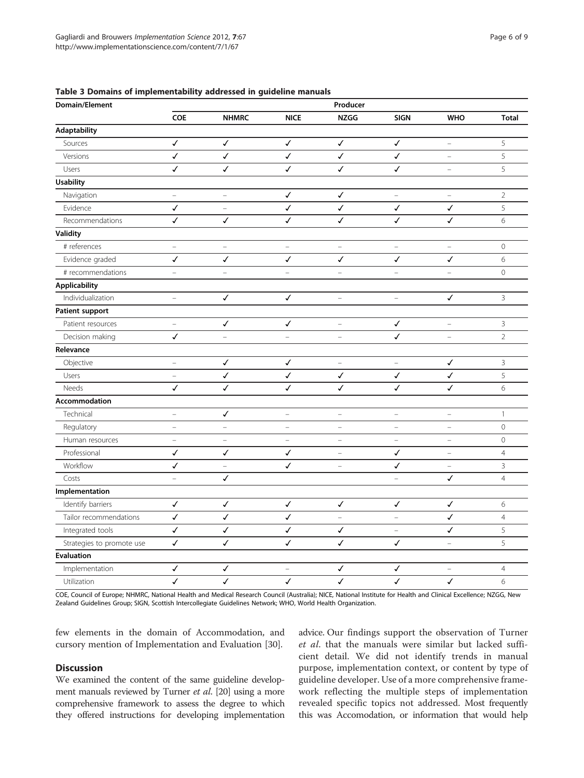#### <span id="page-5-0"></span>Table 3 Domains of implementability addressed in guideline manuals

| Domain/Element            | Producer                 |                          |                          |                          |                          |                          |                |
|---------------------------|--------------------------|--------------------------|--------------------------|--------------------------|--------------------------|--------------------------|----------------|
|                           | COE                      | <b>NHMRC</b>             | <b>NICE</b>              | <b>NZGG</b>              | <b>SIGN</b>              | <b>WHO</b>               | <b>Total</b>   |
| Adaptability              |                          |                          |                          |                          |                          |                          |                |
| Sources                   | $\checkmark$             | $\checkmark$             | $\checkmark$             | $\checkmark$             | ✓                        | $\equiv$                 | 5              |
| Versions                  | $\checkmark$             | $\checkmark$             | $\checkmark$             | $\checkmark$             | $\checkmark$             | $\equiv$                 | 5              |
| Users                     | $\checkmark$             | ✓                        | ✓                        | ✓                        | $\checkmark$             | $\overline{\phantom{0}}$ | 5              |
| <b>Usability</b>          |                          |                          |                          |                          |                          |                          |                |
| Navigation                | $\overline{\phantom{0}}$ | $\equiv$                 | $\checkmark$             | ✓                        | $\equiv$                 | $\equiv$                 | $\overline{2}$ |
| Evidence                  | $\checkmark$             | $\qquad \qquad -$        | $\checkmark$             | $\checkmark$             | ✓                        | ✓                        | 5              |
| Recommendations           | $\checkmark$             | ✓                        | $\checkmark$             | J                        | $\checkmark$             | ✓                        | 6              |
| Validity                  |                          |                          |                          |                          |                          |                          |                |
| # references              | $\equiv$                 | $\equiv$                 | $\equiv$                 | $\equiv$                 | $\equiv$                 | $\equiv$                 | $\mathbf 0$    |
| Evidence graded           | $\checkmark$             | $\checkmark$             | $\checkmark$             | $\checkmark$             | $\checkmark$             | $\checkmark$             | 6              |
| # recommendations         | $\qquad \qquad -$        | $\overline{\phantom{0}}$ |                          | $\overline{\phantom{0}}$ | $\overline{\phantom{0}}$ | $\overline{\phantom{0}}$ | 0              |
| <b>Applicability</b>      |                          |                          |                          |                          |                          |                          |                |
| Individualization         | $\equiv$                 | $\checkmark$             | $\checkmark$             | $\overline{\phantom{0}}$ | ÷                        | $\checkmark$             | 3              |
| <b>Patient support</b>    |                          |                          |                          |                          |                          |                          |                |
| Patient resources         | $\equiv$                 | ✓                        | $\checkmark$             | $\overline{a}$           | ✓                        | $\overline{a}$           | 3              |
| Decision making           | $\checkmark$             |                          | $\equiv$                 | $\overline{a}$           | $\checkmark$             | $\equiv$                 | $\overline{2}$ |
| Relevance                 |                          |                          |                          |                          |                          |                          |                |
| Objective                 | $\equiv$                 | $\checkmark$             | $\checkmark$             | $\equiv$                 | $\equiv$                 | $\checkmark$             | $\overline{3}$ |
| Users                     | $\equiv$                 | $\checkmark$             | $\checkmark$             | $\checkmark$             | $\checkmark$             | √                        | 5              |
| Needs                     | $\checkmark$             | $\checkmark$             | ✓                        | ✓                        | ✓                        | ✓                        | 6              |
| Accommodation             |                          |                          |                          |                          |                          |                          |                |
| Technical                 | $\qquad \qquad -$        | ✓                        | $\overline{\phantom{0}}$ | $\equiv$                 | $\bar{ }$                | ÷                        | $\mathbf{1}$   |
| Regulatory                | $\qquad \qquad -$        | $\equiv$                 | $\equiv$                 | $\equiv$                 | $\equiv$                 | $\overline{\phantom{0}}$ | 0              |
| Human resources           | $\equiv$                 | $\equiv$                 | -                        | $\equiv$                 | $\qquad \qquad -$        | $\equiv$                 | 0              |
| Professional              | $\checkmark$             | $\checkmark$             | ✓                        | $\overline{\phantom{a}}$ | ✓                        | $\qquad \qquad -$        | $\overline{4}$ |
| Workflow                  | ✓                        | $\equiv$                 | ✓                        | $\equiv$                 | ✓                        | $\equiv$                 | $\mathbf{3}$   |
| Costs                     | $\equiv$                 | $\checkmark$             |                          |                          | $\equiv$                 | ✓                        | $\overline{4}$ |
| Implementation            |                          |                          |                          |                          |                          |                          |                |
| Identify barriers         | $\checkmark$             | $\checkmark$             | ✓                        | $\checkmark$             | ✓                        | $\checkmark$             | 6              |
| Tailor recommendations    | $\checkmark$             | $\checkmark$             | ✓                        | $\equiv$                 | $\equiv$                 | ✓                        | $\overline{4}$ |
| Integrated tools          | $\checkmark$             | ✓                        | ✓                        | ✓                        | $\qquad \qquad -$        | $\checkmark$             | 5              |
| Strategies to promote use | $\checkmark$             | $\checkmark$             | $\checkmark$             | $\checkmark$             | $\checkmark$             | $\overline{\phantom{m}}$ | 5              |
| <b>Evaluation</b>         |                          |                          |                          |                          |                          |                          |                |
| Implementation            | $\checkmark$             | ✓                        |                          | ✓                        | ✓                        |                          | $\overline{4}$ |
| Utilization               | $\checkmark$             | $\checkmark$             | $\checkmark$             | $\checkmark$             | $\checkmark$             | $\checkmark$             | 6              |

COE, Council of Europe; NHMRC, National Health and Medical Research Council (Australia); NICE, National Institute for Health and Clinical Excellence; NZGG, New Zealand Guidelines Group; SIGN, Scottish Intercollegiate Guidelines Network; WHO, World Health Organization.

few elements in the domain of Accommodation, and cursory mention of Implementation and Evaluation [\[30](#page-8-0)].

## Discussion

We examined the content of the same guideline development manuals reviewed by Turner *et al.* [\[20](#page-8-0)] using a more comprehensive framework to assess the degree to which they offered instructions for developing implementation advice. Our findings support the observation of Turner et al. that the manuals were similar but lacked sufficient detail. We did not identify trends in manual purpose, implementation context, or content by type of guideline developer. Use of a more comprehensive framework reflecting the multiple steps of implementation revealed specific topics not addressed. Most frequently this was Accomodation, or information that would help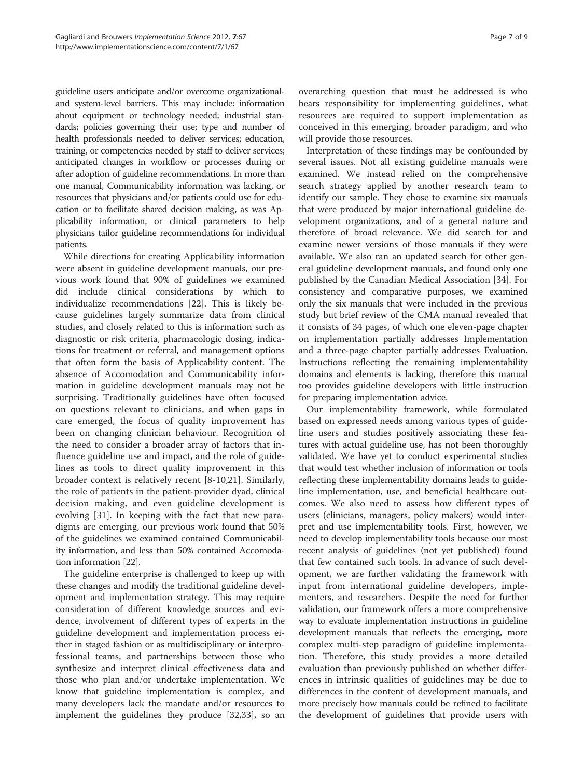guideline users anticipate and/or overcome organizationaland system-level barriers. This may include: information about equipment or technology needed; industrial standards; policies governing their use; type and number of health professionals needed to deliver services; education, training, or competencies needed by staff to deliver services; anticipated changes in workflow or processes during or after adoption of guideline recommendations. In more than one manual, Communicability information was lacking, or resources that physicians and/or patients could use for education or to facilitate shared decision making, as was Applicability information, or clinical parameters to help physicians tailor guideline recommendations for individual patients.

While directions for creating Applicability information were absent in guideline development manuals, our previous work found that 90% of guidelines we examined did include clinical considerations by which to individualize recommendations [\[22](#page-8-0)]. This is likely because guidelines largely summarize data from clinical studies, and closely related to this is information such as diagnostic or risk criteria, pharmacologic dosing, indications for treatment or referral, and management options that often form the basis of Applicability content. The absence of Accomodation and Communicability information in guideline development manuals may not be surprising. Traditionally guidelines have often focused on questions relevant to clinicians, and when gaps in care emerged, the focus of quality improvement has been on changing clinician behaviour. Recognition of the need to consider a broader array of factors that influence guideline use and impact, and the role of guidelines as tools to direct quality improvement in this broader context is relatively recent [[8-10](#page-7-0),[21\]](#page-8-0). Similarly, the role of patients in the patient-provider dyad, clinical decision making, and even guideline development is evolving [[31\]](#page-8-0). In keeping with the fact that new paradigms are emerging, our previous work found that 50% of the guidelines we examined contained Communicability information, and less than 50% contained Accomodation information [\[22](#page-8-0)].

The guideline enterprise is challenged to keep up with these changes and modify the traditional guideline development and implementation strategy. This may require consideration of different knowledge sources and evidence, involvement of different types of experts in the guideline development and implementation process either in staged fashion or as multidisciplinary or interprofessional teams, and partnerships between those who synthesize and interpret clinical effectiveness data and those who plan and/or undertake implementation. We know that guideline implementation is complex, and many developers lack the mandate and/or resources to implement the guidelines they produce [\[32,33](#page-8-0)], so an

overarching question that must be addressed is who bears responsibility for implementing guidelines, what resources are required to support implementation as conceived in this emerging, broader paradigm, and who will provide those resources.

Interpretation of these findings may be confounded by several issues. Not all existing guideline manuals were examined. We instead relied on the comprehensive search strategy applied by another research team to identify our sample. They chose to examine six manuals that were produced by major international guideline development organizations, and of a general nature and therefore of broad relevance. We did search for and examine newer versions of those manuals if they were available. We also ran an updated search for other general guideline development manuals, and found only one published by the Canadian Medical Association [\[34](#page-8-0)]. For consistency and comparative purposes, we examined only the six manuals that were included in the previous study but brief review of the CMA manual revealed that it consists of 34 pages, of which one eleven-page chapter on implementation partially addresses Implementation and a three-page chapter partially addresses Evaluation. Instructions reflecting the remaining implementability domains and elements is lacking, therefore this manual too provides guideline developers with little instruction for preparing implementation advice.

Our implementability framework, while formulated based on expressed needs among various types of guideline users and studies positively associating these features with actual guideline use, has not been thoroughly validated. We have yet to conduct experimental studies that would test whether inclusion of information or tools reflecting these implementability domains leads to guideline implementation, use, and beneficial healthcare outcomes. We also need to assess how different types of users (clinicians, managers, policy makers) would interpret and use implementability tools. First, however, we need to develop implementability tools because our most recent analysis of guidelines (not yet published) found that few contained such tools. In advance of such development, we are further validating the framework with input from international guideline developers, implementers, and researchers. Despite the need for further validation, our framework offers a more comprehensive way to evaluate implementation instructions in guideline development manuals that reflects the emerging, more complex multi-step paradigm of guideline implementation. Therefore, this study provides a more detailed evaluation than previously published on whether differences in intrinsic qualities of guidelines may be due to differences in the content of development manuals, and more precisely how manuals could be refined to facilitate the development of guidelines that provide users with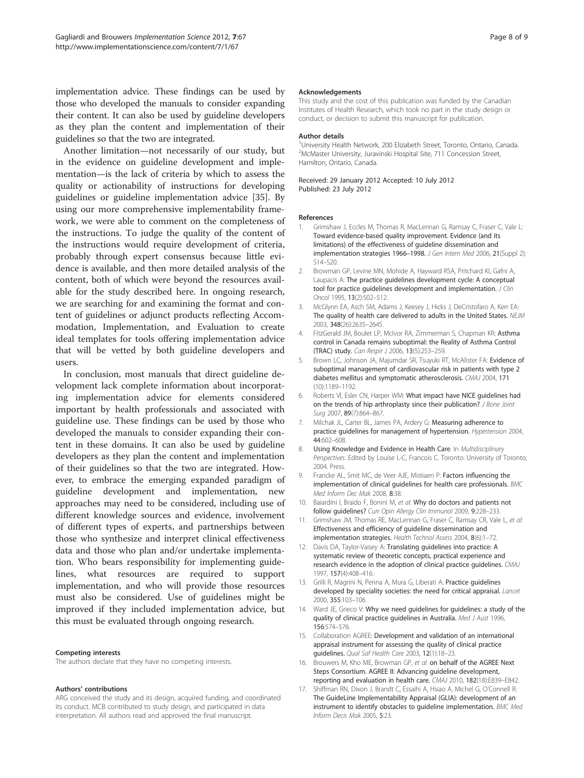<span id="page-7-0"></span>implementation advice. These findings can be used by those who developed the manuals to consider expanding their content. It can also be used by guideline developers as they plan the content and implementation of their guidelines so that the two are integrated.

Another limitation—not necessarily of our study, but in the evidence on guideline development and implementation—is the lack of criteria by which to assess the quality or actionability of instructions for developing guidelines or guideline implementation advice [\[35](#page-8-0)]. By using our more comprehensive implementability framework, we were able to comment on the completeness of the instructions. To judge the quality of the content of the instructions would require development of criteria, probably through expert consensus because little evidence is available, and then more detailed analysis of the content, both of which were beyond the resources available for the study described here. In ongoing research, we are searching for and examining the format and content of guidelines or adjunct products reflecting Accommodation, Implementation, and Evaluation to create ideal templates for tools offering implementation advice that will be vetted by both guideline developers and users.

In conclusion, most manuals that direct guideline development lack complete information about incorporating implementation advice for elements considered important by health professionals and associated with guideline use. These findings can be used by those who developed the manuals to consider expanding their content in these domains. It can also be used by guideline developers as they plan the content and implementation of their guidelines so that the two are integrated. However, to embrace the emerging expanded paradigm of guideline development and implementation, new approaches may need to be considered, including use of different knowledge sources and evidence, involvement of different types of experts, and partnerships between those who synthesize and interpret clinical effectiveness data and those who plan and/or undertake implementation. Who bears responsibility for implementing guidelines, what resources are required to support implementation, and who will provide those resources must also be considered. Use of guidelines might be improved if they included implementation advice, but this must be evaluated through ongoing research.

#### Competing interests

The authors declare that they have no competing interests.

#### Authors' contributions

ARG conceived the study and its design, acquired funding, and coordinated its conduct. MCB contributed to study design, and participated in data interpretation. All authors read and approved the final manuscript.

#### Acknowledgements

This study and the cost of this publication was funded by the Canadian Institutes of Health Research, which took no part in the study design or conduct, or decision to submit this manuscript for publication.

#### Author details

<sup>1</sup>University Health Network, 200 Elizabeth Street, Toronto, Ontario, Canada. <sup>2</sup>McMaster University, Juravinski Hospital Site, 711 Concession Street, Hamilton, Ontario, Canada.

#### Received: 29 January 2012 Accepted: 10 July 2012 Published: 23 July 2012

#### References

- Grimshaw J, Eccles M, Thomas R, MacLennan G, Ramsay C, Fraser C, Vale L: Toward evidence-based quality improvement. Evidence (and its limitations) of the effectiveness of guideline dissemination and implementation strategies 1966-1998. J Gen Intern Med 2006, 21(Suppl 2): S14–S20.
- 2. Browman GP, Levine MN, Mohide A, Hayward RSA, Pritchard KI, Gafni A, Laupacis A: The practice guidelines development cycle: A conceptual tool for practice guidelines development and implementation. J Clin Oncol 1995, 13(2):502–512.
- 3. McGlynn EA, Asch SM, Adams J, Keesey J, Hicks J, DeCristofaro A, Kerr EA: The quality of health care delivered to adults in the United States. NEJM 2003, 348(26):2635–2645.
- 4. FitzGerald JM, Boulet LP, McIvor RA, Zimmerman S, Chapman KR: Asthma control in Canada remains suboptimal: the Reality of Asthma Control (TRAC) study. Can Respir J 2006, 13(5):253–259.
- 5. Brown LC, Johnson JA, Majumdar SR, Tsuyuki RT, McAlister FA: Evidence of suboptimal management of cardiovascular risk in patients with type 2 diabetes mellitus and symptomatic atherosclerosis. CMAJ 2004, 171 (10):1189–1192.
- 6. Roberts VI, Esler CN, Harper WM: What impact have NICE guidelines had on the trends of hip arthroplasty since their publication? J Bone Joint Surg 2007, 89(7):864-867.
- 7. Milchak JL, Carter BL, James PA, Ardery G: Measuring adherence to practice guidelines for management of hypertension. Hypertension 2004, 44:602–608.
- 8. Using Knowledge and Evidence in Health Care. In Multidisciplinary Perspectives. Edited by Louise L-C, Francois C. Toronto: University of Toronto; 2004. Press.
- 9. Francke AL, Smit MC, de Veer AJE, Mistiaen P: Factors influencing the implementation of clinical guidelines for health care professionals. BMC Med Inform Dec Mak 2008, 8:38.
- 10. Baiardini I, Braido F, Bonini M, et al: Why do doctors and patients not follow guidelines? Curr Opin Allergy Clin Immunol 2009, 9:228–233.
- 11. Grimshaw JM, Thomas RE, MacLennan G, Fraser C, Ramsay CR, Vale L, et al: Effectiveness and efficiency of guideline dissemination and implementation strategies. Health Technol Assess 2004, 8(6):1–72.
- 12. Davis DA, Taylor-Vaisey A: Translating guidelines into practice: A systematic review of theoretic concepts, practical experience and research evidence in the adoption of clinical practice guidelines. CMAJ 1997, 157(4):408–416.
- 13. Grilli R, Magrini N, Penna A, Mura G, Liberati A: Practice guidelines developed by speciality societies: the need for critical appraisal. Lancet 2000, 355:103–106.
- 14. Ward JE, Grieco V: Why we need guidelines for guidelines: a study of the quality of clinical practice guidelines in Australia. Med J Aust 1996, 156:574–576.
- 15. Collaboration AGREE: Development and validation of an international appraisal instrument for assessing the quality of clinical practice guidelines. Qual Saf Health Care 2003, 12(1):18–23.
- 16. Brouwers M, Kho ME, Browman GP, et al: on behalf of the AGREE Next Steps Consortium. AGREE II: Advancing guideline development, reporting and evaluation in health care. CMAJ 2010, 182(18):E839–E842.
- 17. Shiffman RN, Dixon J, Brandt C, Essaihi A, Hsiao A, Michel G, O'Connell R: The GuideLine Implementability Appraisal (GLIA): development of an instrument to identify obstacles to guideline implementation. BMC Med Inform Decis Mak 2005, 5:23.